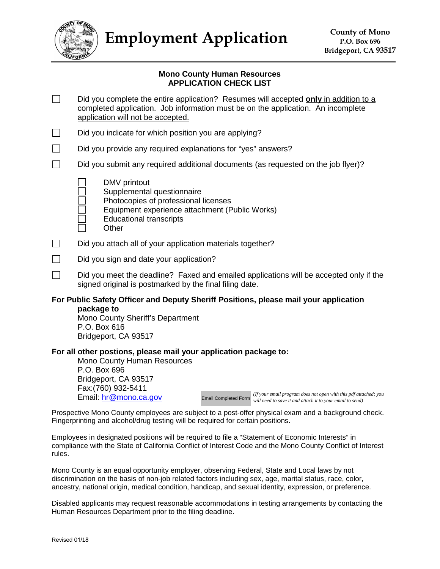

**Employment Application** County of Mono

### **Mono County Human Resources APPLICATION CHECK LIST**

- $\Box$ Did you complete the entire application? Resumes will accepted **only** in addition to a completed application. Job information must be on the application. An incomplete application will not be accepted.
- $\Box$ Did you indicate for which position you are applying?
- $\Box$ Did you provide any required explanations for "yes" answers?
- П Did you submit any required additional documents (as requested on the job flyer)?
	- DMV printout
	- Supplemental questionnaire
	- Photocopies of professional licenses
	- Equipment experience attachment (Public Works)
	- Educational transcripts
	- **Other**
- $\Box$ Did you attach all of your application materials together?
- $\Box$ Did you sign and date your application?
- П. Did you meet the deadline? Faxed and emailed applications will be accepted only if the signed original is postmarked by the final filing date.

### **For Public Safety Officer and Deputy Sheriff Positions, please mail your application package to**

Mono County Sheriff's Department P.O. Box 616 Bridgeport, CA 93517

#### **For all other postions, please mail your application package to:**

Mono County Human Resources P.O. Box 696 Bridgeport, CA 93517 Fax:(760) 932-5411 Email: hr@mono.ca.gov

Email Completed Form *will need to save it and attach it to your email to send)(If your email program does not open with this pdf attached; you*

Prospective Mono County employees are subject to a post-offer physical exam and a background check. Fingerprinting and alcohol/drug testing will be required for certain positions.

Employees in designated positions will be required to file a "Statement of Economic Interests" in compliance with the State of California Conflict of Interest Code and the Mono County Conflict of Interest rules.

Mono County is an equal opportunity employer, observing Federal, State and Local laws by not discrimination on the basis of non-job related factors including sex, age, marital status, race, color, ancestry, national origin, medical condition, handicap, and sexual identity, expression, or preference.

Disabled applicants may request reasonable accommodations in testing arrangements by contacting the Human Resources Department prior to the filing deadline.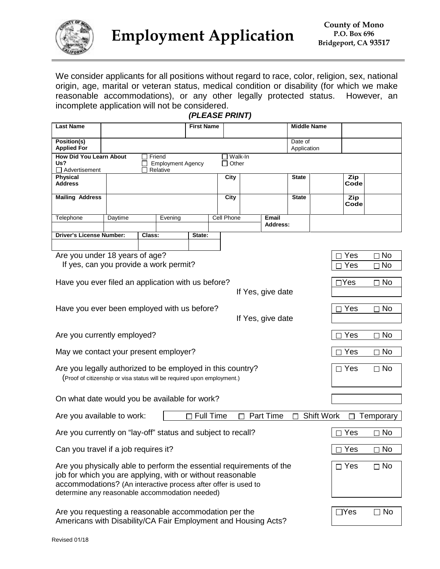

We consider applicants for all positions without regard to race, color, religion, sex, national origin, age, marital or veteran status, medical condition or disability (for which we make reasonable accommodations), or any other legally protected status. However, an incomplete application will not be considered.

| <b>Last Name</b>                                                                                                                      |                                                                                                                                                                                                                                                        |        |         | <b>First Name</b> |     |            |            |                   | <b>Middle Name</b>     |             |           |
|---------------------------------------------------------------------------------------------------------------------------------------|--------------------------------------------------------------------------------------------------------------------------------------------------------------------------------------------------------------------------------------------------------|--------|---------|-------------------|-----|------------|------------|-------------------|------------------------|-------------|-----------|
| Position(s)<br><b>Applied For</b>                                                                                                     |                                                                                                                                                                                                                                                        |        |         |                   |     |            |            |                   | Date of<br>Application |             |           |
| <b>How Did You Learn About</b><br>Friend<br>Walk-In<br>$\Box$ Other<br>Us?<br><b>Employment Agency</b><br>Advertisement<br>Relative   |                                                                                                                                                                                                                                                        |        |         |                   |     |            |            |                   |                        |             |           |
| <b>Physical</b><br><b>Address</b>                                                                                                     |                                                                                                                                                                                                                                                        |        |         |                   |     | City       |            |                   | <b>State</b>           | Zip<br>Code |           |
| <b>Mailing Address</b>                                                                                                                |                                                                                                                                                                                                                                                        |        |         |                   |     | City       |            |                   | <b>State</b>           | Zip<br>Code |           |
| Telephone                                                                                                                             | Daytime                                                                                                                                                                                                                                                |        | Evening |                   |     | Cell Phone |            | Email<br>Address: |                        |             |           |
| <b>Driver's License Number:</b>                                                                                                       |                                                                                                                                                                                                                                                        | Class: |         | State:            |     |            |            |                   |                        |             |           |
|                                                                                                                                       |                                                                                                                                                                                                                                                        |        |         |                   |     |            |            |                   |                        |             |           |
| Are you under 18 years of age?                                                                                                        |                                                                                                                                                                                                                                                        |        |         |                   |     |            |            |                   |                        | Yes         | $\Box$ No |
| If yes, can you provide a work permit?                                                                                                |                                                                                                                                                                                                                                                        |        |         |                   |     |            |            |                   |                        | Yes         | $\Box$ No |
| Have you ever filed an application with us before?                                                                                    |                                                                                                                                                                                                                                                        |        |         |                   |     |            |            |                   |                        | $\Box$ Yes  | $\Box$ No |
|                                                                                                                                       |                                                                                                                                                                                                                                                        |        |         |                   |     |            |            | If Yes, give date |                        |             |           |
| Have you ever been employed with us before?                                                                                           |                                                                                                                                                                                                                                                        |        |         |                   |     |            |            |                   |                        | Yes         | $\Box$ No |
|                                                                                                                                       |                                                                                                                                                                                                                                                        |        |         |                   |     |            |            | If Yes, give date |                        |             |           |
| Are you currently employed?                                                                                                           |                                                                                                                                                                                                                                                        |        |         |                   |     | Yes        | $\Box$ No  |                   |                        |             |           |
| May we contact your present employer?                                                                                                 |                                                                                                                                                                                                                                                        |        |         |                   |     | Yes        | $\Box$ No  |                   |                        |             |           |
| Are you legally authorized to be employed in this country?<br>(Proof of citizenship or visa status will be required upon employment.) |                                                                                                                                                                                                                                                        |        |         |                   |     | $\Box$ Yes | $\Box$ No  |                   |                        |             |           |
| On what date would you be available for work?                                                                                         |                                                                                                                                                                                                                                                        |        |         |                   |     |            |            |                   |                        |             |           |
|                                                                                                                                       |                                                                                                                                                                                                                                                        |        |         |                   |     |            |            |                   |                        |             |           |
| <b>Shift Work</b><br><b>Full Time</b><br><b>Part Time</b><br>Are you available to work:<br>Temporary                                  |                                                                                                                                                                                                                                                        |        |         |                   |     |            |            |                   |                        |             |           |
| Are you currently on "lay-off" status and subject to recall?                                                                          |                                                                                                                                                                                                                                                        |        |         |                   | Yes | $\Box$ No  |            |                   |                        |             |           |
| Can you travel if a job requires it?                                                                                                  |                                                                                                                                                                                                                                                        |        |         |                   | Yes | $\Box$ No  |            |                   |                        |             |           |
|                                                                                                                                       | Are you physically able to perform the essential requirements of the<br>job for which you are applying, with or without reasonable<br>accommodations? (An interactive process after offer is used to<br>determine any reasonable accommodation needed) |        |         |                   |     |            | $\Box$ Yes | $\Box$ No         |                        |             |           |
|                                                                                                                                       | Are you requesting a reasonable accommodation per the<br>Americans with Disability/CA Fair Employment and Housing Acts?                                                                                                                                |        |         |                   |     |            |            | $\Box Y$ es       | $\Box$ No              |             |           |

*(PLEASE PRINT)*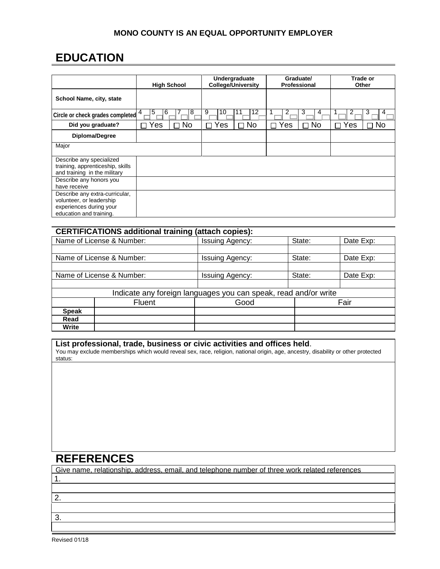### **MONO COUNTY IS AN EQUAL OPPORTUNITY EMPLOYER**

## **EDUCATION**

|                                                                                                                  | <b>High School</b>            | Undergraduate<br><b>College/University</b> | Graduate/<br>Professional   | Trade or<br>Other     |  |
|------------------------------------------------------------------------------------------------------------------|-------------------------------|--------------------------------------------|-----------------------------|-----------------------|--|
| School Name, city, state                                                                                         |                               |                                            |                             |                       |  |
| Circle or check grades completed                                                                                 | 5<br>8<br>$\overline{4}$<br>6 | 9<br>12<br>10<br>11                        | 3<br>2<br>4                 | 2<br>3<br>4           |  |
| Did you graduate?                                                                                                | <b>No</b><br>$\Box$ Yes<br>П  | $\Box$ No<br>$\Box$ Yes                    | Yes<br><b>No</b><br>П<br>ΙI | $\Box$ No<br>Yes<br>П |  |
| Diploma/Degree                                                                                                   |                               |                                            |                             |                       |  |
| Major                                                                                                            |                               |                                            |                             |                       |  |
| Describe any specialized<br>training, apprenticeship, skills<br>and training in the military                     |                               |                                            |                             |                       |  |
| Describe any honors you<br>have receive                                                                          |                               |                                            |                             |                       |  |
| Describe any extra-curricular,<br>volunteer, or leadership<br>experiences during your<br>education and training. |                               |                                            |                             |                       |  |

| <b>CERTIFICATIONS additional training (attach copies):</b>      |                           |                        |        |           |  |  |  |
|-----------------------------------------------------------------|---------------------------|------------------------|--------|-----------|--|--|--|
| Name of License & Number:                                       |                           | <b>Issuing Agency:</b> | State: | Date Exp: |  |  |  |
|                                                                 |                           |                        |        |           |  |  |  |
|                                                                 | Name of License & Number: | <b>Issuing Agency:</b> | State: | Date Exp: |  |  |  |
|                                                                 |                           |                        |        |           |  |  |  |
| Name of License & Number:                                       |                           | <b>Issuing Agency:</b> | State: | Date Exp: |  |  |  |
|                                                                 |                           |                        |        |           |  |  |  |
| Indicate any foreign languages you can speak, read and/or write |                           |                        |        |           |  |  |  |
| Fluent                                                          |                           | Good                   | Fair   |           |  |  |  |
| <b>Speak</b>                                                    |                           |                        |        |           |  |  |  |
| Read                                                            |                           |                        |        |           |  |  |  |
| Write                                                           |                           |                        |        |           |  |  |  |

### **List professional, trade, business or civic activities and offices held**.

You may exclude memberships which would reveal sex, race, religion, national origin, age, ancestry, disability or other protected status:

### **REFERENCES**

Give name, relationship, address, email, and telephone number of three work related references 1. 2. 3.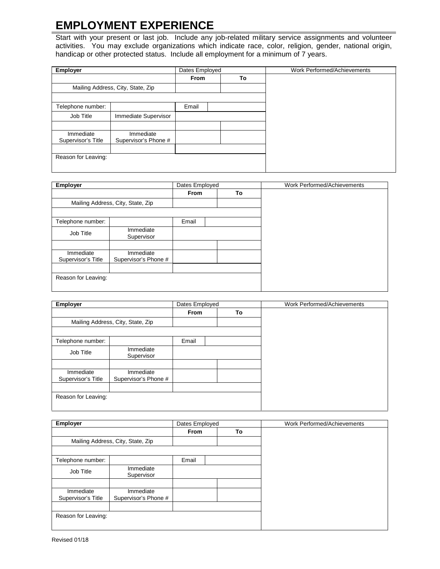# **EMPLOYMENT EXPERIENCE**

Start with your present or last job. Include any job-related military service assignments and volunteer activities. You may exclude organizations which indicate race, color, religion, gender, national origin, handicap or other protected status. Include all employment for a minimum of 7 years.

| <b>Employer</b>                   |                      | Dates Employed |    | Work Performed/Achievements |
|-----------------------------------|----------------------|----------------|----|-----------------------------|
|                                   |                      | <b>From</b>    | To |                             |
| Mailing Address, City, State, Zip |                      |                |    |                             |
|                                   |                      |                |    |                             |
| Telephone number:                 |                      | Email          |    |                             |
| Job Title                         | Immediate Supervisor |                |    |                             |
|                                   |                      |                |    |                             |
| Immediate                         | Immediate            |                |    |                             |
| Supervisor's Title                | Supervisor's Phone # |                |    |                             |
|                                   |                      |                |    |                             |
| Reason for Leaving:               |                      |                |    |                             |
|                                   |                      |                |    |                             |

| <b>Employer</b>                   |                                   | Dates Employed |    | Work Performed/Achievements |
|-----------------------------------|-----------------------------------|----------------|----|-----------------------------|
|                                   |                                   | From           | To |                             |
| Mailing Address, City, State, Zip |                                   |                |    |                             |
|                                   |                                   |                |    |                             |
| Telephone number:                 |                                   | Email          |    |                             |
| Job Title                         | Immediate<br>Supervisor           |                |    |                             |
|                                   |                                   |                |    |                             |
| Immediate<br>Supervisor's Title   | Immediate<br>Supervisor's Phone # |                |    |                             |
| Reason for Leaving:               |                                   |                |    |                             |

| <b>Employer</b>                   |                                   | Dates Employed |       |    | Work Performed/Achievements |
|-----------------------------------|-----------------------------------|----------------|-------|----|-----------------------------|
|                                   |                                   | <b>From</b>    |       | To |                             |
| Mailing Address, City, State, Zip |                                   |                |       |    |                             |
|                                   |                                   |                |       |    |                             |
| Telephone number:                 |                                   |                | Email |    |                             |
| Job Title                         | Immediate<br>Supervisor           |                |       |    |                             |
|                                   |                                   |                |       |    |                             |
| Immediate<br>Supervisor's Title   | Immediate<br>Supervisor's Phone # |                |       |    |                             |
| Reason for Leaving:               |                                   |                |       |    |                             |

| <b>Employer</b>                   |                                   | Dates Employed |    | Work Performed/Achievements |
|-----------------------------------|-----------------------------------|----------------|----|-----------------------------|
|                                   |                                   | <b>From</b>    | To |                             |
| Mailing Address, City, State, Zip |                                   |                |    |                             |
|                                   |                                   |                |    |                             |
| Telephone number:                 |                                   | Email          |    |                             |
| Job Title                         | Immediate<br>Supervisor           |                |    |                             |
|                                   |                                   |                |    |                             |
| Immediate<br>Supervisor's Title   | Immediate<br>Supervisor's Phone # |                |    |                             |
| Reason for Leaving:               |                                   |                |    |                             |